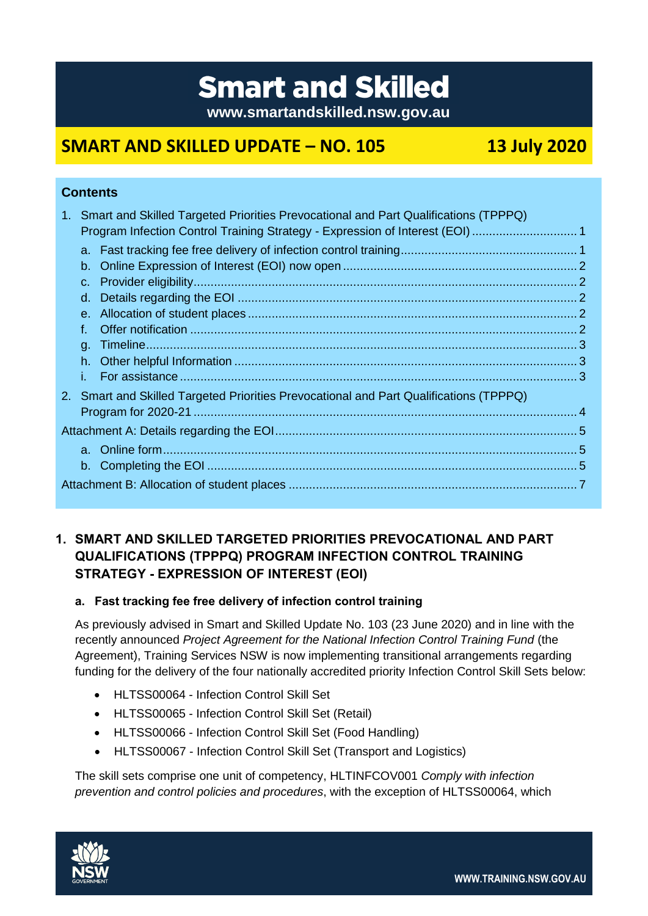# **Smart and Skilled**

**www.smartandskilled.nsw.gov.au**

## **SMART AND SKILLED UPDATE – NO. 105 13 July 2020**

## **Contents**

|                                                                                        | 1. Smart and Skilled Targeted Priorities Prevocational and Part Qualifications (TPPPQ) |  |
|----------------------------------------------------------------------------------------|----------------------------------------------------------------------------------------|--|
|                                                                                        | Program Infection Control Training Strategy - Expression of Interest (EOI) 1           |  |
|                                                                                        |                                                                                        |  |
|                                                                                        |                                                                                        |  |
|                                                                                        | $C_{\star}$                                                                            |  |
|                                                                                        |                                                                                        |  |
|                                                                                        |                                                                                        |  |
|                                                                                        |                                                                                        |  |
|                                                                                        |                                                                                        |  |
|                                                                                        |                                                                                        |  |
|                                                                                        |                                                                                        |  |
|                                                                                        |                                                                                        |  |
|                                                                                        |                                                                                        |  |
| 2. Smart and Skilled Targeted Priorities Prevocational and Part Qualifications (TPPPQ) |                                                                                        |  |
|                                                                                        |                                                                                        |  |
|                                                                                        |                                                                                        |  |
|                                                                                        |                                                                                        |  |

## <span id="page-0-0"></span>**1. SMART AND SKILLED TARGETED PRIORITIES PREVOCATIONAL AND PART QUALIFICATIONS (TPPPQ) PROGRAM INFECTION CONTROL TRAINING STRATEGY - EXPRESSION OF INTEREST (EOI)**

## <span id="page-0-1"></span>**a. Fast tracking fee free delivery of infection control training**

As previously advised in Smart and Skilled Update No. 103 (23 June 2020) and in line with the recently announced *Project Agreement for the National Infection Control Training Fund* (the Agreement), Training Services NSW is now implementing transitional arrangements regarding funding for the delivery of the four nationally accredited priority Infection Control Skill Sets below:

- HLTSS00064 Infection Control Skill Set
- HLTSS00065 Infection Control Skill Set (Retail)
- HLTSS00066 Infection Control Skill Set (Food Handling)
- HLTSS00067 Infection Control Skill Set (Transport and Logistics)

The skill sets comprise one unit of competency, HLTINFCOV001 *Comply with infection prevention and control policies and procedures*, with the exception of HLTSS00064, which

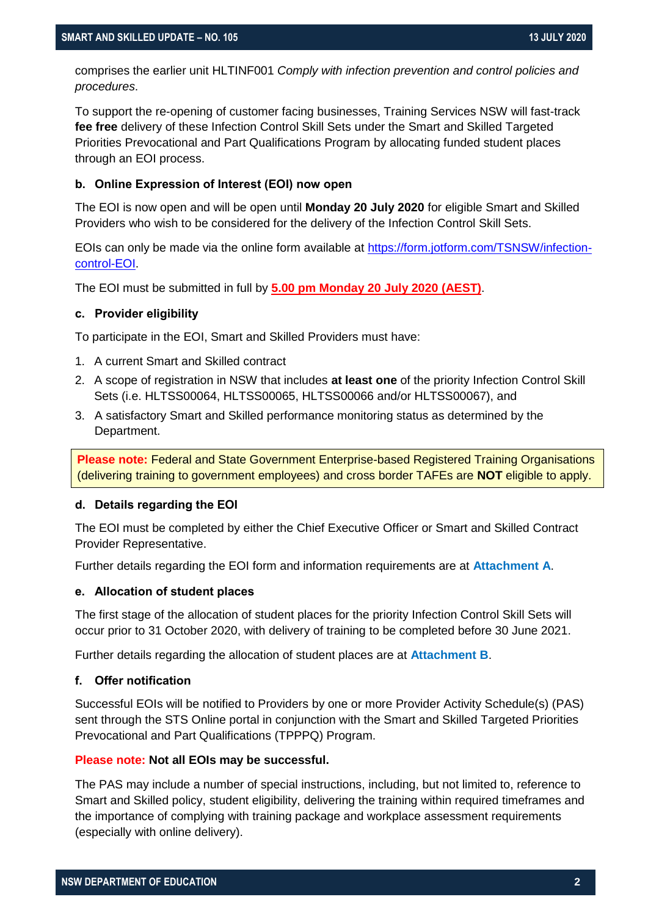comprises the earlier unit HLTINF001 *Comply with infection prevention and control policies and procedures*.

To support the re-opening of customer facing businesses, Training Services NSW will fast-track **fee free** delivery of these Infection Control Skill Sets under the Smart and Skilled Targeted Priorities Prevocational and Part Qualifications Program by allocating funded student places through an EOI process.

#### <span id="page-1-0"></span>**b. Online Expression of Interest (EOI) now open**

The EOI is now open and will be open until **Monday 20 July 2020** for eligible Smart and Skilled Providers who wish to be considered for the delivery of the Infection Control Skill Sets.

EOIs can only be made via the online form available at [https://form.jotform.com/TSNSW/infection](https://form.jotform.com/TSNSW/infection-control-EOI)[control-EOI.](https://form.jotform.com/TSNSW/infection-control-EOI)

The EOI must be submitted in full by **5.00 pm Monday 20 July 2020 (AEST)**.

#### <span id="page-1-1"></span>**c. Provider eligibility**

To participate in the EOI, Smart and Skilled Providers must have:

- 1. A current Smart and Skilled contract
- 2. A scope of registration in NSW that includes **at least one** of the priority Infection Control Skill Sets (i.e. HLTSS00064, HLTSS00065, HLTSS00066 and/or HLTSS00067), and
- 3. A satisfactory Smart and Skilled performance monitoring status as determined by the Department.

**Please note:** Federal and State Government Enterprise-based Registered Training Organisations (delivering training to government employees) and cross border TAFEs are **NOT** eligible to apply.

#### <span id="page-1-2"></span>**d. Details regarding the EOI**

The EOI must be completed by either the Chief Executive Officer or Smart and Skilled Contract Provider Representative.

Further details regarding the EOI form and information requirements are at **[Attachment A](#page-4-0)**.

#### <span id="page-1-3"></span>**e. Allocation of student places**

The first stage of the allocation of student places for the priority Infection Control Skill Sets will occur prior to 31 October 2020, with delivery of training to be completed before 30 June 2021.

Further details regarding the allocation of student places are at **[Attachment B](#page-6-0)**.

#### <span id="page-1-4"></span>**f. Offer notification**

Successful EOIs will be notified to Providers by one or more Provider Activity Schedule(s) (PAS) sent through the STS Online portal in conjunction with the Smart and Skilled Targeted Priorities Prevocational and Part Qualifications (TPPPQ) Program.

#### **Please note: Not all EOIs may be successful.**

The PAS may include a number of special instructions, including, but not limited to, reference to Smart and Skilled policy, student eligibility, delivering the training within required timeframes and the importance of complying with training package and workplace assessment requirements (especially with online delivery).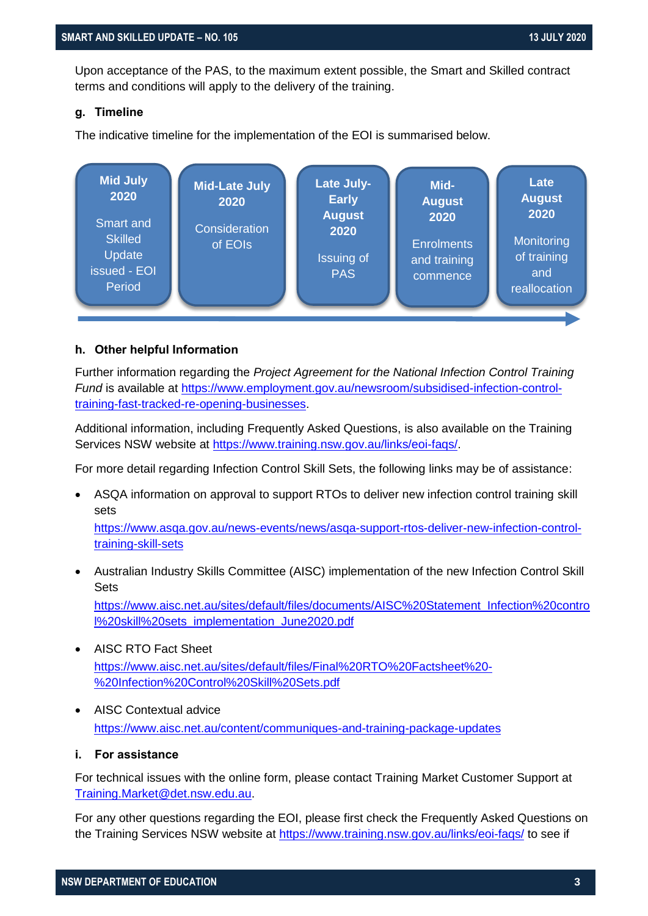Upon acceptance of the PAS, to the maximum extent possible, the Smart and Skilled contract terms and conditions will apply to the delivery of the training.

#### <span id="page-2-0"></span>**g. Timeline**

The indicative timeline for the implementation of the EOI is summarised below.



#### <span id="page-2-1"></span>**h. Other helpful Information**

Further information regarding the *Project Agreement for the National Infection Control Training Fund* is available at [https://www.employment.gov.au/newsroom/subsidised-infection-control](https://www.employment.gov.au/newsroom/subsidised-infection-control-training-fast-tracked-re-opening-businesses)[training-fast-tracked-re-opening-businesses.](https://www.employment.gov.au/newsroom/subsidised-infection-control-training-fast-tracked-re-opening-businesses)

Additional information, including Frequently Asked Questions, is also available on the Training Services NSW website at [https://www.training.nsw.gov.au/links/eoi-faqs/.](https://www.training.nsw.gov.au/links/eoi-faqs/)

For more detail regarding Infection Control Skill Sets, the following links may be of assistance:

 ASQA information on approval to support RTOs to deliver new infection control training skill sets

[https://www.asqa.gov.au/news-events/news/asqa-support-rtos-deliver-new-infection-control](https://www.asqa.gov.au/news-events/news/asqa-support-rtos-deliver-new-infection-control-training-skill-sets)[training-skill-sets](https://www.asqa.gov.au/news-events/news/asqa-support-rtos-deliver-new-infection-control-training-skill-sets)

- Australian Industry Skills Committee (AISC) implementation of the new Infection Control Skill Sets [https://www.aisc.net.au/sites/default/files/documents/AISC%20Statement\\_Infection%20contro](https://www.aisc.net.au/sites/default/files/documents/AISC%20Statement_Infection%20control%20skill%20sets_implementation_June2020.pdf) [l%20skill%20sets\\_implementation\\_June2020.pdf](https://www.aisc.net.au/sites/default/files/documents/AISC%20Statement_Infection%20control%20skill%20sets_implementation_June2020.pdf)
- AISC RTO Fact Sheet [https://www.aisc.net.au/sites/default/files/Final%20RTO%20Factsheet%20-](https://www.aisc.net.au/sites/default/files/Final%20RTO%20Factsheet%20-%20Infection%20Control%20Skill%20Sets.pdf) [%20Infection%20Control%20Skill%20Sets.pdf](https://www.aisc.net.au/sites/default/files/Final%20RTO%20Factsheet%20-%20Infection%20Control%20Skill%20Sets.pdf)
- AISC Contextual advice <https://www.aisc.net.au/content/communiques-and-training-package-updates>
- <span id="page-2-2"></span>**i. For assistance**

For technical issues with the online form, please contact Training Market Customer Support at [Training.Market@det.nsw.edu.au.](mailto:Training.Market@det.nsw.edu.au)

For any other questions regarding the EOI, please first check the Frequently Asked Questions on the Training Services NSW website at<https://www.training.nsw.gov.au/links/eoi-faqs/> to see if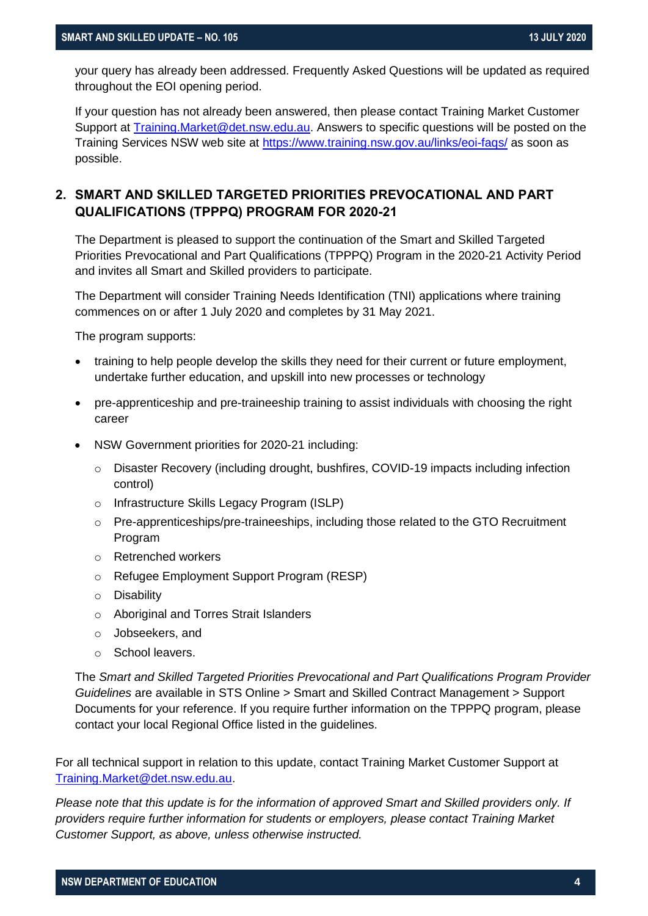your query has already been addressed. Frequently Asked Questions will be updated as required throughout the EOI opening period.

If your question has not already been answered, then please contact Training Market Customer Support at [Training.Market@det.nsw.edu.au.](mailto:Training.Market@det.nsw.edu.au) Answers to specific questions will be posted on the Training Services NSW web site at <https://www.training.nsw.gov.au/links/eoi-faqs/> as soon as possible.

## <span id="page-3-0"></span>**2. SMART AND SKILLED TARGETED PRIORITIES PREVOCATIONAL AND PART QUALIFICATIONS (TPPPQ) PROGRAM FOR 2020-21**

The Department is pleased to support the continuation of the Smart and Skilled Targeted Priorities Prevocational and Part Qualifications (TPPPQ) Program in the 2020-21 Activity Period and invites all Smart and Skilled providers to participate.

The Department will consider Training Needs Identification (TNI) applications where training commences on or after 1 July 2020 and completes by 31 May 2021.

The program supports:

- training to help people develop the skills they need for their current or future employment, undertake further education, and upskill into new processes or technology
- pre-apprenticeship and pre-traineeship training to assist individuals with choosing the right career
- NSW Government priorities for 2020-21 including:
	- o Disaster Recovery (including drought, bushfires, COVID-19 impacts including infection control)
	- o Infrastructure Skills Legacy Program (ISLP)
	- $\circ$  Pre-apprenticeships/pre-traineeships, including those related to the GTO Recruitment Program
	- o Retrenched workers
	- o Refugee Employment Support Program (RESP)
	- o Disability
	- o Aboriginal and Torres Strait Islanders
	- o Jobseekers, and
	- o School leavers.

The *Smart and Skilled Targeted Priorities Prevocational and Part Qualifications Program Provider Guidelines* are available in STS Online > Smart and Skilled Contract Management > Support Documents for your reference. If you require further information on the TPPPQ program, please contact your local Regional Office listed in the guidelines.

For all technical support in relation to this update, contact Training Market Customer Support at [Training.Market@det.nsw.edu.au.](mailto:Training.Market@det.nsw.edu.au)

*Please note that this update is for the information of approved Smart and Skilled providers only. If providers require further information for students or employers, please contact Training Market Customer Support, as above, unless otherwise instructed.*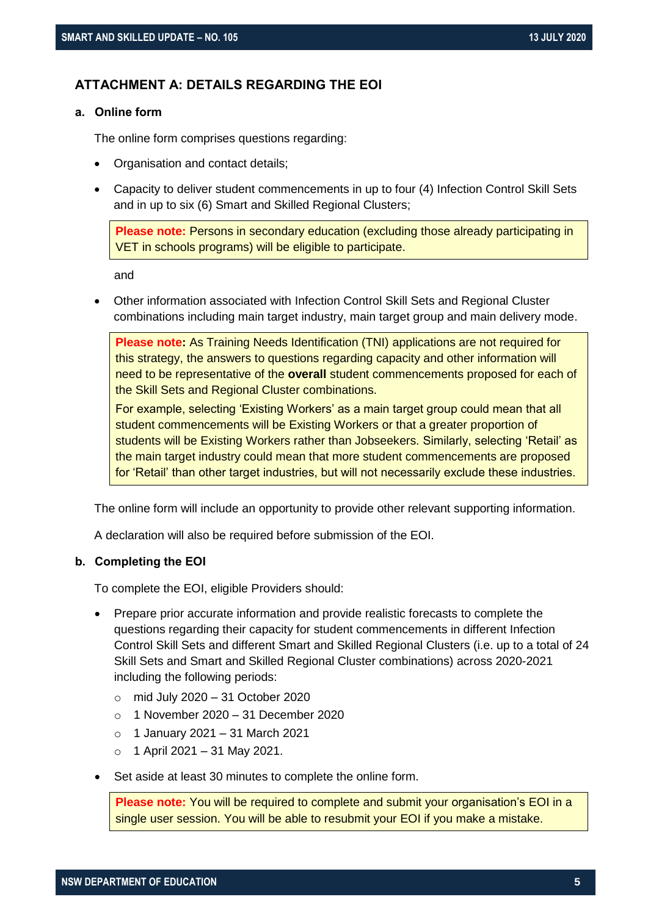## <span id="page-4-0"></span>**ATTACHMENT A: DETAILS REGARDING THE EOI**

#### <span id="page-4-1"></span>**a. Online form**

The online form comprises questions regarding:

- Organisation and contact details;
- Capacity to deliver student commencements in up to four (4) Infection Control Skill Sets and in up to six (6) Smart and Skilled Regional Clusters;

**Please note:** Persons in secondary education (excluding those already participating in VET in schools programs) will be eligible to participate.

and

 Other information associated with Infection Control Skill Sets and Regional Cluster combinations including main target industry, main target group and main delivery mode.

**Please note:** As Training Needs Identification (TNI) applications are not required for this strategy, the answers to questions regarding capacity and other information will need to be representative of the **overall** student commencements proposed for each of the Skill Sets and Regional Cluster combinations.

For example, selecting 'Existing Workers' as a main target group could mean that all student commencements will be Existing Workers or that a greater proportion of students will be Existing Workers rather than Jobseekers. Similarly, selecting 'Retail' as the main target industry could mean that more student commencements are proposed for 'Retail' than other target industries, but will not necessarily exclude these industries.

The online form will include an opportunity to provide other relevant supporting information.

A declaration will also be required before submission of the EOI.

#### <span id="page-4-2"></span>**b. Completing the EOI**

To complete the EOI, eligible Providers should:

- Prepare prior accurate information and provide realistic forecasts to complete the questions regarding their capacity for student commencements in different Infection Control Skill Sets and different Smart and Skilled Regional Clusters (i.e. up to a total of 24 Skill Sets and Smart and Skilled Regional Cluster combinations) across 2020-2021 including the following periods:
	- $\circ$  mid July 2020 31 October 2020
	- $\circ$  1 November 2020 31 December 2020
	- o 1 January 2021 31 March 2021
	- $\circ$  1 April 2021 31 May 2021.
- Set aside at least 30 minutes to complete the online form.

**Please note:** You will be required to complete and submit your organisation's EOI in a single user session. You will be able to resubmit your EOI if you make a mistake.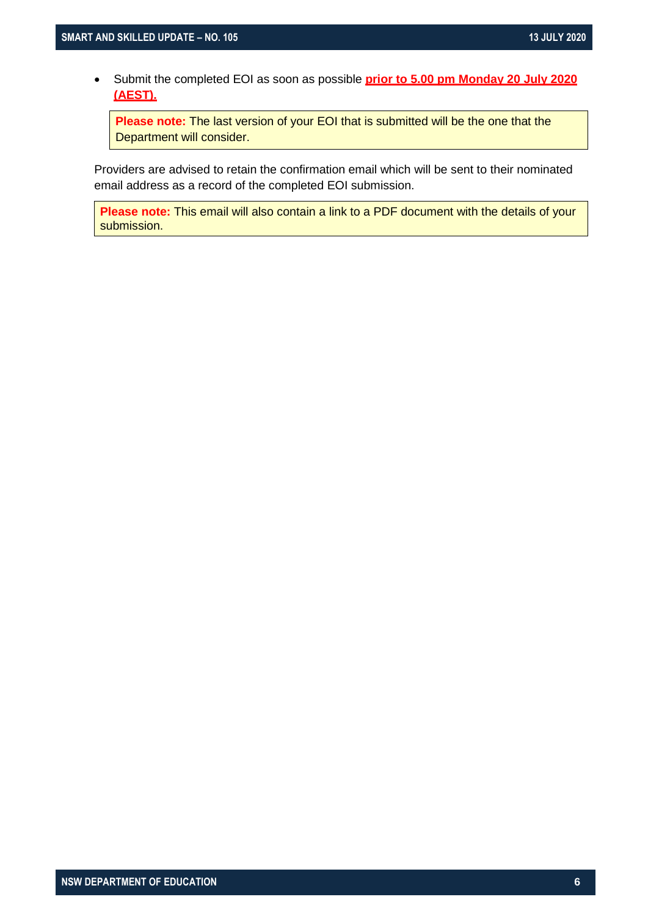Submit the completed EOI as soon as possible **prior to 5.00 pm Monday 20 July 2020 (AEST).**

**Please note:** The last version of your EOI that is submitted will be the one that the Department will consider.

Providers are advised to retain the confirmation email which will be sent to their nominated email address as a record of the completed EOI submission.

**Please note:** This email will also contain a link to a PDF document with the details of your submission.